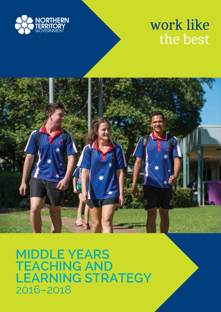

# work like the best



**MIDDLE YEARS TEACHING AND LEARNING STRATEGY** 2016–2018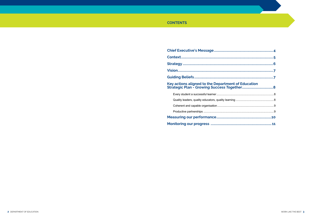### **CONTENTS**

## 

# Key actions aligned to the Department of<br>Strategic Plan - Growing Success Toget

| <b>Measuring our performance</b>                      |
|-------------------------------------------------------|
|                                                       |
| Coherent and capable organisation                     |
| Quality leaders, quality educators, quality learning. |
| Every student a successful learner                    |

| of Education |  |
|--------------|--|
|              |  |
|              |  |
|              |  |
|              |  |
|              |  |
|              |  |
|              |  |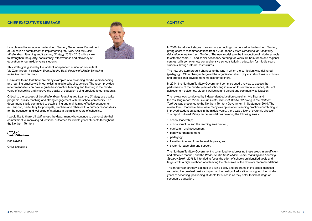#### **CHIEF EXECUTIVE'S MESSAGE CONTEXT**



I am pleased to announce the Northern Territory Government Department of Education's commitment to implementing the *Work Like the Best: Middle Years Teaching and Learning Strategy 2016 - 2018* with a view to strengthen the quality, consistency, effectiveness and efficiency of education for our middle years students.

This strategy is guided by the work of independent education consultant, Vic Zbar through his review, *Work Like the Best: Review of Middle Schooling in the Northern Territory.*

His review found that there are many examples of outstanding middle years teaching and learning practice within our existing middle school structures. The report provides recommendations on how to guide best-practice teaching and learning in the middle years of schooling and improve the quality of education being provided to our students.

Critical to the success of the *Middle Years Teaching and Learning Strategy* are quality programs, quality teaching and strong engagement with the school community. The department is fully committed to establishing and maintaining effective engagement and support, particularly for principals, teachers and others with a primary responsibility for the education and wellbeing of students in the middle years of schooling.

I would like to thank all staff across the department who continue to demonstrate their commitment to improving educational outcomes for middle years students throughout the Northern Territory.

 $X$ 

Ken Davies Chief Executive

- school leadership:
- school structure and the learning environment;
- curriculum and assessment;
- behaviour management;
- pedagogy;
- transition into and from the middle years; and
- systemic leadership and support.

In 2006, two distinct stages of secondary schooling commenced in the Northern Territory giving effect to recommendations from a 2003 report *Future Directions for Secondary Education in the Northern Territory*. The new model saw the introduction of middle schools to cater for Years 7-9 and senior secondary catering for Years 10-12 in urban and regional centres, with some remote comprehensive schools tailoring education for middle years students through internal restructures.

The new structure brought changes to the way in which the curriculum was delivered (pedagogy). Other changes targeted the organisational and physical structures of schools and professional development models for teachers.

In 2014, the Northern Territory Government commissioned a review to assess the performance of the middle years of schooling in relation to student attendance, student achievement outcomes, student wellbeing and parent and community satisfaction.

The review was conducted by independent education consultant Vic Zbar and the resulting report, *Work Like the Best: Review of Middle Schooling in the Northern Territory* was presented to the Northern Territory Government in September 2014. The review found that while there were many examples of outstanding practice contributing to improved student outcomes in the middle years, there was a lack of systemic direction. The report outlined 25 key recommendations covering the following areas:

The Northern Territory Government is committed to addressing these areas in an efficient and effective manner, and the *Work Like the Best: Middle Years Teaching and Learning Strategy 2016 - 2018* is intended to focus the effort of schools on identified goals and targets with a high likelihood of achieving the objectives of the review's recommendations.

This three year strategy is aimed at driving policy and programs in the areas identified as having the greatest positive impact on the quality of education throughout the middle years of schooling, positioning students for success as they enter their last stage of secondary education.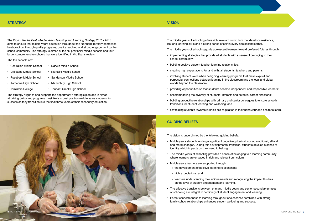#### **STRATEGY**

The *Work Like the Best: Middle Years Teaching and Learning Strategy 2016 - 2018* aims to ensure that middle years education throughout the Northern Territory comprises best-practice, through quality programs, quality teaching and strong engagement by the school community. The strategy is aimed at the six provincial middle schools and four larger comprehensive schools that were identified in Vic Zbar's review.

The ten schools are:

- Centralian Middle School Darwin Middle School
	-
- Dripstone Middle School Nightcliff Middle School
- Rosebery Middle School Sanderson Middle School
- Katherine High School Nhulunbuy High School
- 
- 
- 
- Taminmin College Tennant Creek High School.

The strategy aligns to and supports the department's strategic plan and is aimed at driving policy and programs most likely to best position middle years students for success as they transition into the final three years of their secondary education.

#### **VISION**

## **GUIDING BELIEFS**

The middle years of schooling offers rich, relevant curriculum that develops resilience, life-long learning skills and a strong sense of self in every adolescent learner.

The middle years of schooling guide adolescent learners toward preferred futures through:

- implementing strategies that provide all students with a sense of belonging to their school community;
- building positive student-teacher learning relationships;
- creating high expectations for, and with, all students, teachers and parents;
- involving student voice when designing learning programs that make explicit and purposeful connections between learning in the classroom and the local and global worlds beyond the classroom;
- providing opportunities so that students become independent and responsible learners;
- accommodating the diversity of students' interests and potential career directions;
- building productive relationships with primary and senior colleagues to ensure smooth transitions for student learning and wellbeing; and
- scaffolding students towards intrinsic self-regulation in their behaviour and desire to learn.

The vision is underpinned by the following guiding beliefs:

- Middle years students undergo significant cognitive, physical, social, emotional, ethical and moral changes. During this developmental transition, students develop a sense of identity, which impacts on their need to belong.
- The middle years of schooling provides a sense of belonging to a learning community where learners are engaged in rich and relevant curriculum.
- Middle years learners are supported through:
	- » the development of positive learning relationships;
	- » high expectations; and
	- » teachers understanding their unique needs and recognising the impact this has on the level of student engagement and learning.
- The effective transitions between primary, middle years and senior secondary phases of schooling are integral to continuity of student engagement and learning.
- Parent connectedness to learning throughout adolescence combined with strong family-school relationships enhances student wellbeing and success.





- 
-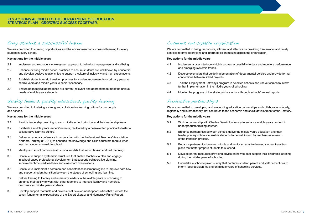#### **KEY ACTIONS ALIGNED TO THE DEPARTMENT OF EDUCATION STRATEGIC PLAN - GROWING SUCCESS TOGETHER.**

### Every student a successful learner

We are committed to creating opportunities and the environment for successful learning for every student in every school.

#### **Key actions for the middle years**

- 2.1 Implement and resource a whole-system approach to behaviour management and wellbeing.
- 2.2 Enhance existing middle school practices to ensure students are well known by educators and develop positive relationships to support a culture of inclusivity and high expectations.
- 2.3 Establish student-centric transition practices for student movement from primary years to middle years and middle years to senior secondary.
- 2.4 Ensure pedagogical approaches are current, relevant and appropriate to meet the unique needs of middle years students.

## Quality leaders, quality educators, quality learning

We are committed to fostering a strong and collaborative learning culture for our people and schools.

#### **Key actions for the middle years**

We are committed to being responsive, efficient and effective by providing frameworks and timely services to drive operations and inform decision making across the organisation.

- 3.1 Provide leadership coaching to each middle school principal and their leadership team.
- 3.2 Establish a middle years leaders' network, facilitated by a peer-elected principal to foster a collaborative learning culture.
- 3.3 Deliver an annual conference in conjunction with the Professional Teachers' Association Northern Territory (PTANT) to enhance the knowledge and skills educators require when teaching students in middle school.
- 3.4 Identify and adopt common instructional models that inform lesson and unit planning.
- 3.5 Continue to support systematic structures that enable teachers to plan and engage in school-based professional development that supports collaborative planning, improvement-focused feedback and classroom observations.
- 3.6 Continue to implement a common and consistent assessment regime to improve data flow and support student transition between the stages of schooling and learning.
- 3.7 Deliver training to literacy and numeracy leaders in the middle years of schooling to enhance their ability to work with other teachers to improve literacy and numeracy outcomes for middle years students.
- 3.8 Develop support materials and professional development opportunities that promote the seven fundamental expectations of the Expert Literacy and Numeracy Panel Report.

## Coherent and capable organisation

#### **Key actions for the middle years**

- 4.1 Implement a user interface which improves accessibility to data and monitors performance and emerging systemic trends.
- 4.2 Develop exemplars that guide implementation of departmental policies and provide formal connections between linked projects.
- 4.3 Trial the Employment Pathways program in selected schools and use outcomes to inform further implementation in the middle years of schooling.
- 4.4 Monitor the progress of the strategy's key actions through schools' annual reports.

## Productive partnerships

We are committed to developing and embedding education partnerships and collaborations locally, regionally and internationally that contribute to the economic and social development of the Territory.

#### **Key actions for the middle years**

- 5.1 Work in partnership with Charles Darwin University to enhance middle years content in undergraduate training courses.
- 5.2 Enhance partnerships between schools delivering middle years education and their feeder primary schools to enable students to be well known by teachers as a result of the transition process.
- 5.3 Enhance partnerships between middle and senior schools to develop student transition plans that better prepare students to succeed.
- 5.4 Develop parent resources providing advice on how to best support their children's learning during the middle years of schooling.
- 5.5 Undertake a school opinion survey that captures student, parent and staff perceptions to inform local decision making on middle years of schooling services.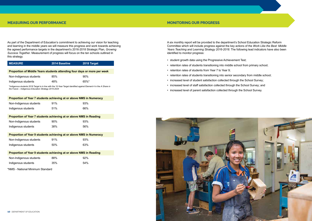

#### **MEASURING OUR PERFORMANCE**

As part of the Department of Education's commitment to achieving our vision for teaching and learning in the middle years we will measure this progress and work towards achieving the agreed performance targets in the department's 2016-2018 Strategic Plan, *Growing Success Together*. Measurement of progress will focus on the ten schools outlined in this strategy.

| <b>MEASURE</b>                                                                                                                                                             | 2014 Baseline | 2018 Target |  |  |  |
|----------------------------------------------------------------------------------------------------------------------------------------------------------------------------|---------------|-------------|--|--|--|
|                                                                                                                                                                            |               |             |  |  |  |
| Proportion of Middle Years students attending four days or more per week                                                                                                   |               |             |  |  |  |
| Non-Indigenous students                                                                                                                                                    | 85%           | $90\%$      |  |  |  |
| Indigenous students                                                                                                                                                        | 48%           | 65%*        |  |  |  |
| *Indigenous students 2018 Target is in line with the 10-Year Target identified against Element 4 in the A Share in<br>the Future - Indigenous Education Strategy 2015-2024 |               |             |  |  |  |
| Proportion of Year 7 students achieving at or above NMS in Numeracy                                                                                                        |               |             |  |  |  |
| Non-Indigenous students                                                                                                                                                    | 91%           | 93%         |  |  |  |
| Indigenous students                                                                                                                                                        | 51%           | 66%         |  |  |  |
| Proportion of Year 7 students achieving at or above NMS in Reading                                                                                                         |               |             |  |  |  |
| Non-Indigenous students                                                                                                                                                    | 90%           | 93%         |  |  |  |
| Indigenous students                                                                                                                                                        | 38%           | 56%         |  |  |  |
| Proportion of Year 9 students achieving at or above NMS in Numeracy                                                                                                        |               |             |  |  |  |
| Non-Indigenous students                                                                                                                                                    | 91%           | 93%         |  |  |  |
| Indigenous students                                                                                                                                                        | 50%           | 63%         |  |  |  |
| Proportion of Year 9 students achieving at or above NMS in Reading                                                                                                         |               |             |  |  |  |

| Non-Indigenous students | 88% | 92% |
|-------------------------|-----|-----|
| Indigenous students     | 35% | 54% |

\*NMS - National Minimum Standard

A six monthly report will be provided to the department's School Education Strategic Reform Committee which will include progress against the key actions of the *Work Like the Best: Middle Years Teaching and Learning Strategy 2016-2018*. The following lead indicators have also been identified to monitor progress:

- student growth data using the Progressive Achievement Test;
- retention rates of students transitioning into middle school from primary school;
- retention rates of students from Year 7 to Year 9;
- retention rates of students transitioning into senior secondary from middle school;
- increased level of student satisfaction collected through the School Survey;
- increased level of staff satisfaction collected through the School Survey; and
- increased level of parent satisfaction collected through the School Survey.

#### **MONITORING OUR PROGRESS**